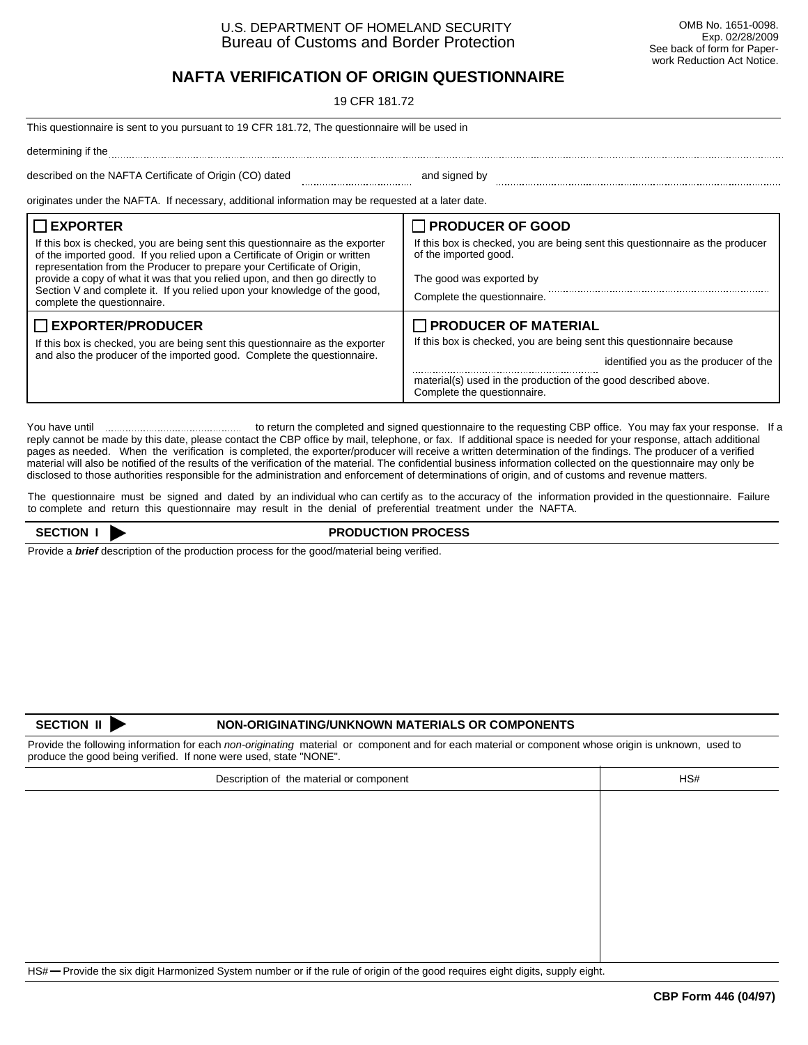# **NAFTA VERIFICATION OF ORIGIN QUESTIONNAIRE**

19 CFR 181.72

| This questionnaire is sent to you pursuant to 19 CFR 181.72, The questionnaire will be used in                                                                                                                                                                                                                                                                                                                         |                                                                                                                                                        |  |  |
|------------------------------------------------------------------------------------------------------------------------------------------------------------------------------------------------------------------------------------------------------------------------------------------------------------------------------------------------------------------------------------------------------------------------|--------------------------------------------------------------------------------------------------------------------------------------------------------|--|--|
| determining if the                                                                                                                                                                                                                                                                                                                                                                                                     |                                                                                                                                                        |  |  |
| described on the NAFTA Certificate of Origin (CO) dated                                                                                                                                                                                                                                                                                                                                                                | and signed by                                                                                                                                          |  |  |
| originates under the NAFTA. If necessary, additional information may be requested at a later date.                                                                                                                                                                                                                                                                                                                     |                                                                                                                                                        |  |  |
| $\Box$ EXPORTER<br>If this box is checked, you are being sent this questionnaire as the exporter<br>of the imported good. If you relied upon a Certificate of Origin or written<br>representation from the Producer to prepare your Certificate of Origin,<br>provide a copy of what it was that you relied upon, and then go directly to<br>Section V and complete it. If you relied upon your knowledge of the good, | PRODUCER OF GOOD<br>If this box is checked, you are being sent this questionnaire as the producer<br>of the imported good.<br>The good was exported by |  |  |
| complete the questionnaire.<br>$\Box$ EXPORTER/PRODUCER                                                                                                                                                                                                                                                                                                                                                                | Complete the questionnaire.                                                                                                                            |  |  |
| If this box is checked, you are being sent this questionnaire as the exporter<br>and also the producer of the imported good. Complete the questionnaire.                                                                                                                                                                                                                                                               | PRODUCER OF MATERIAL<br>If this box is checked, you are being sent this questionnaire because<br>identified you as the producer of the                 |  |  |
|                                                                                                                                                                                                                                                                                                                                                                                                                        | material(s) used in the production of the good described above.<br>Complete the questionnaire.                                                         |  |  |

You have until to return the completed and signed questionnaire to the requesting CBP office. You may fax your response. If a reply cannot be made by this date, please contact the CBP office by mail, telephone, or fax. If additional space is needed for your response, attach additional pages as needed. When the verification is completed, the exporter/producer will receive a written determination of the findings. The producer of a verified material will also be notified of the results of the verification of the material. The confidential business information collected on the questionnaire may only be disclosed to those authorities responsible for the administration and enforcement of determinations of origin, and of customs and revenue matters.

The questionnaire must be signed and dated by an individual who can certify as to the accuracy of the information provided in the questionnaire. Failure to complete and return this questionnaire may result in the denial of preferential treatment under the NAFTA.

#### **SECTION I** PRODUCTION PROCESS

Provide a *brief* description of the production process for the good/material being verified.

## **SECTION II NON-ORIGINATING/UNKNOWN MATERIALS OR COMPONENTS**

Provide the following information for each *non-originating* material or component and for each material or component whose origin is unknown, used to produce the good being verified. If none were used, state "NONE".

| Description of the material or component | HS# |  |
|------------------------------------------|-----|--|
|                                          |     |  |
|                                          |     |  |
|                                          |     |  |
|                                          |     |  |
|                                          |     |  |
|                                          |     |  |
|                                          |     |  |
|                                          |     |  |
|                                          |     |  |